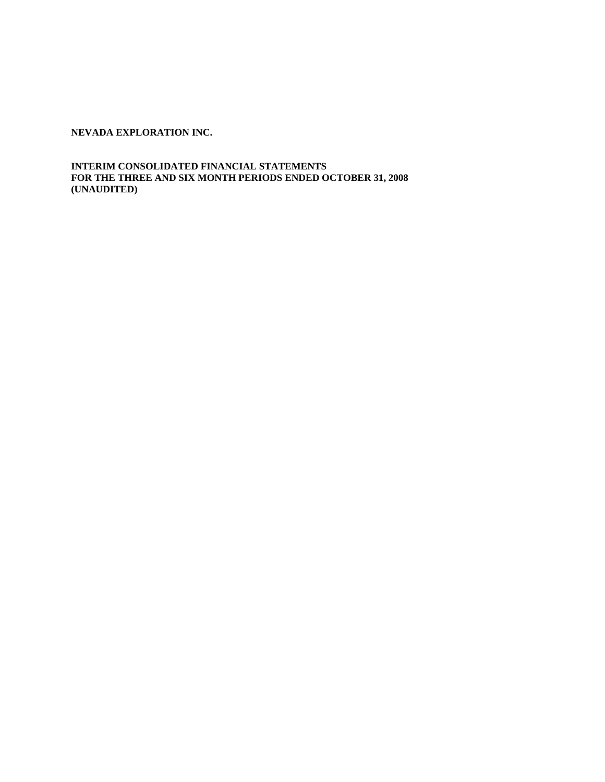**INTERIM CONSOLIDATED FINANCIAL STATEMENTS FOR THE THREE AND SIX MONTH PERIODS ENDED OCTOBER 31, 2008 (UNAUDITED)**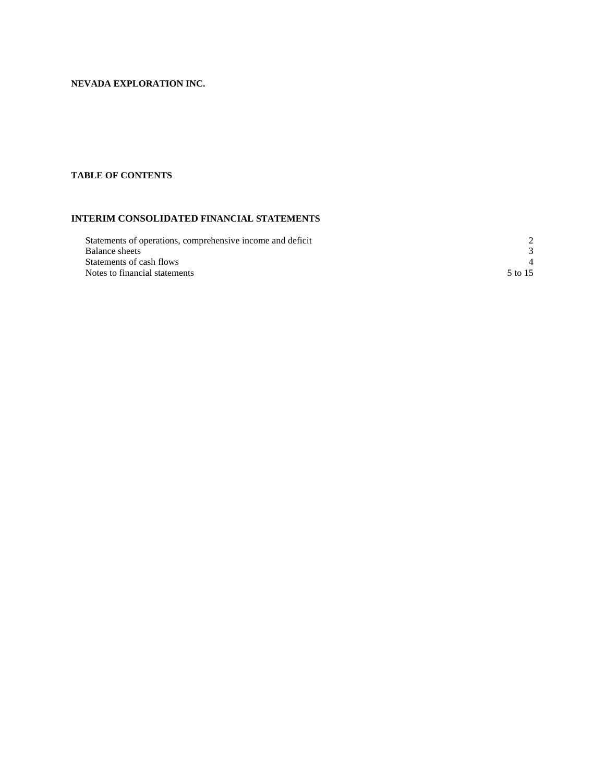# **TABLE OF CONTENTS**

# **INTERIM CONSOLIDATED FINANCIAL STATEMENTS**

| Statements of operations, comprehensive income and deficit |         |
|------------------------------------------------------------|---------|
| Balance sheets                                             |         |
| Statements of cash flows                                   |         |
| Notes to financial statements                              | 5 to 15 |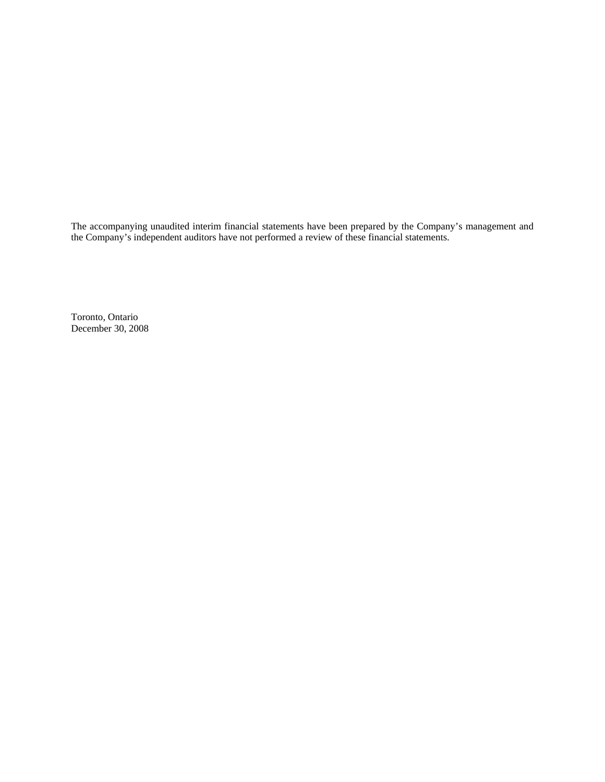The accompanying unaudited interim financial statements have been prepared by the Company's management and the Company's independent auditors have not performed a review of these financial statements.

Toronto, Ontario December 30, 2008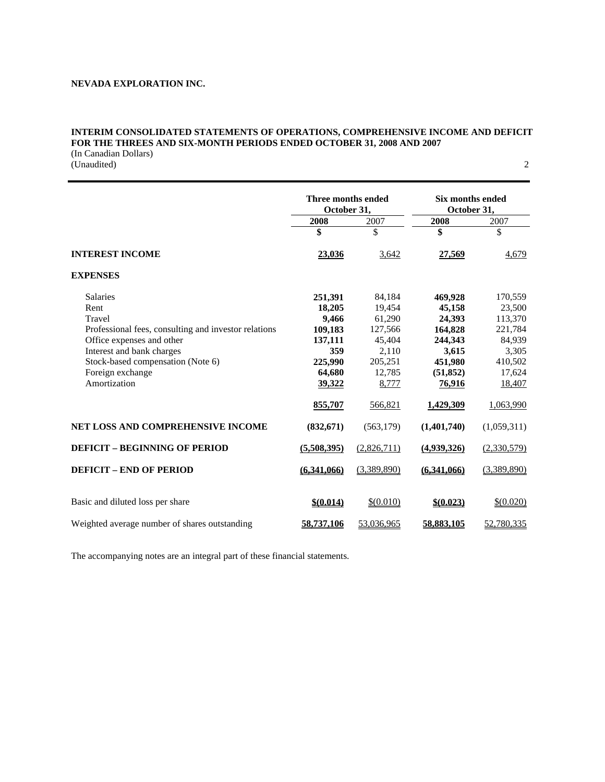# **INTERIM CONSOLIDATED STATEMENTS OF OPERATIONS, COMPREHENSIVE INCOME AND DEFICIT FOR THE THREES AND SIX-MONTH PERIODS ENDED OCTOBER 31, 2008 AND 2007**

(In Canadian Dollars) (Unaudited) 2

|                                                      | Three months ended<br>October 31, |             | <b>Six months ended</b><br>October 31, |             |
|------------------------------------------------------|-----------------------------------|-------------|----------------------------------------|-------------|
|                                                      | 2008                              | 2007        | 2008                                   | 2007        |
|                                                      | \$                                | \$          | \$                                     | \$          |
| <b>INTEREST INCOME</b>                               | 23,036                            | 3,642       | 27,569                                 | 4,679       |
| <b>EXPENSES</b>                                      |                                   |             |                                        |             |
| <b>Salaries</b>                                      | 251,391                           | 84,184      | 469,928                                | 170,559     |
| Rent                                                 | 18,205                            | 19,454      | 45,158                                 | 23,500      |
| Travel                                               | 9,466                             | 61,290      | 24,393                                 | 113,370     |
| Professional fees, consulting and investor relations | 109,183                           | 127,566     | 164,828                                | 221,784     |
| Office expenses and other                            | 137,111                           | 45,404      | 244,343                                | 84,939      |
| Interest and bank charges                            | 359                               | 2,110       | 3,615                                  | 3,305       |
| Stock-based compensation (Note 6)                    | 225,990                           | 205,251     | 451,980                                | 410,502     |
| Foreign exchange                                     | 64,680                            | 12,785      | (51, 852)                              | 17,624      |
| Amortization                                         | 39,322                            | 8,777       | 76,916                                 | 18,407      |
|                                                      | 855,707                           | 566,821     | 1,429,309                              | 1,063,990   |
| <b>NET LOSS AND COMPREHENSIVE INCOME</b>             | (832, 671)                        | (563, 179)  | (1,401,740)                            | (1,059,311) |
| <b>DEFICIT - BEGINNING OF PERIOD</b>                 | (5,508,395)                       | (2,826,711) | (4,939,326)                            | (2,330,579) |
| <b>DEFICIT - END OF PERIOD</b>                       | (6,341,066)                       | (3,389,890) | (6,341,066)                            | (3,389,890) |
| Basic and diluted loss per share                     | \$0.014\$                         | \$(0.010)   | \$ (0.023)                             | \$ (0.020)  |
| Weighted average number of shares outstanding        | 58,737,106                        | 53,036,965  | 58,883,105                             | 52,780,335  |

The accompanying notes are an integral part of these financial statements.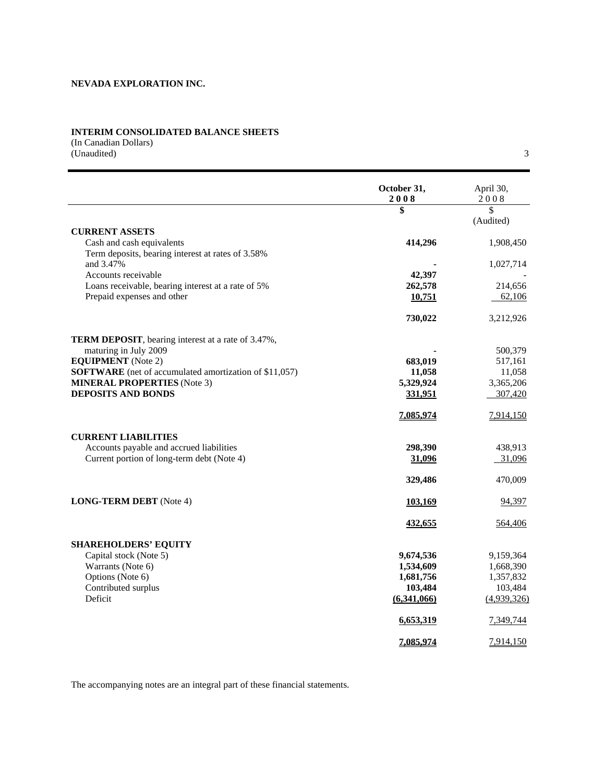## **INTERIM CONSOLIDATED BALANCE SHEETS**

(In Canadian Dollars) (Unaudited) 3

|                                                                                                     | October 31,<br>2008  | April 30,<br>2008    |
|-----------------------------------------------------------------------------------------------------|----------------------|----------------------|
|                                                                                                     | \$                   | $\mathcal{S}$        |
|                                                                                                     |                      | (Audited)            |
| <b>CURRENT ASSETS</b>                                                                               |                      |                      |
| Cash and cash equivalents<br>Term deposits, bearing interest at rates of 3.58%                      | 414,296              | 1,908,450            |
| and 3.47%                                                                                           |                      | 1,027,714            |
| Accounts receivable                                                                                 | 42,397               |                      |
| Loans receivable, bearing interest at a rate of 5%                                                  | 262,578              | 214,656              |
| Prepaid expenses and other                                                                          | 10,751               | 62,106               |
|                                                                                                     | 730,022              | 3,212,926            |
| TERM DEPOSIT, bearing interest at a rate of 3.47%,                                                  |                      |                      |
| maturing in July 2009                                                                               |                      | 500,379              |
| <b>EQUIPMENT</b> (Note 2)                                                                           | 683,019              | 517,161              |
| <b>SOFTWARE</b> (net of accumulated amortization of \$11,057)<br><b>MINERAL PROPERTIES</b> (Note 3) | 11,058<br>5,329,924  | 11,058<br>3,365,206  |
| <b>DEPOSITS AND BONDS</b>                                                                           | 331,951              | 307,420              |
|                                                                                                     | 7,085,974            | 7,914,150            |
| <b>CURRENT LIABILITIES</b>                                                                          |                      |                      |
| Accounts payable and accrued liabilities                                                            | 298,390              | 438,913              |
| Current portion of long-term debt (Note 4)                                                          | 31,096               | 31,096               |
|                                                                                                     | 329,486              | 470,009              |
| <b>LONG-TERM DEBT</b> (Note 4)                                                                      | 103,169              | 94,397               |
|                                                                                                     | <u>432,655</u>       | 564,406              |
| <b>SHAREHOLDERS' EQUITY</b>                                                                         |                      |                      |
| Capital stock (Note 5)                                                                              | 9,674,536            | 9,159,364            |
| Warrants (Note 6)                                                                                   | 1,534,609            | 1,668,390            |
| Options (Note 6)<br>Contributed surplus                                                             | 1,681,756<br>103,484 | 1,357,832<br>103,484 |
| Deficit                                                                                             | (6,341,066)          | (4,939,326)          |
|                                                                                                     | 6,653,319            | 7,349,744            |
|                                                                                                     | 7,085,974            | 7,914,150            |

The accompanying notes are an integral part of these financial statements.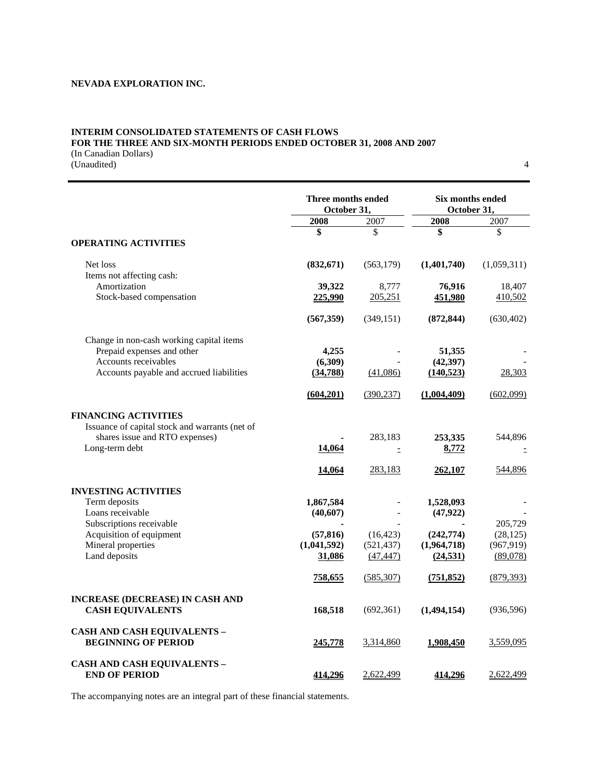# **INTERIM CONSOLIDATED STATEMENTS OF CASH FLOWS FOR THE THREE AND SIX-MONTH PERIODS ENDED OCTOBER 31, 2008 AND 2007**

(In Canadian Dollars) (Unaudited) 4

|                                                                               | Three months ended<br>October 31,  |                                      | Six months ended<br>October 31,        |                                     |
|-------------------------------------------------------------------------------|------------------------------------|--------------------------------------|----------------------------------------|-------------------------------------|
|                                                                               | 2008                               | 2007                                 | 2008                                   | 2007                                |
| <b>OPERATING ACTIVITIES</b>                                                   | \$                                 | \$                                   | \$                                     | \$                                  |
| Net loss                                                                      | (832,671)                          | (563, 179)                           | (1,401,740)                            | (1,059,311)                         |
| Items not affecting cash:<br>Amortization<br>Stock-based compensation         | 39,322<br>225,990                  | 8,777<br>205,251                     | 76,916<br>451,980                      | 18,407<br>410,502                   |
|                                                                               | (567, 359)                         | (349, 151)                           | (872, 844)                             | (630, 402)                          |
| Change in non-cash working capital items<br>Prepaid expenses and other        | 4,255                              |                                      | 51,355                                 |                                     |
| Accounts receivables<br>Accounts payable and accrued liabilities              | (6,309)<br>(34,788)                | (41,086)                             | (42, 397)<br>(140, 523)                | 28,303                              |
|                                                                               | (604, 201)                         | (390, 237)                           | (1,004,409)                            | (602,099)                           |
| <b>FINANCING ACTIVITIES</b><br>Issuance of capital stock and warrants (net of |                                    |                                      |                                        |                                     |
| shares issue and RTO expenses)<br>Long-term debt                              | 14,064                             | 283,183<br>Ξ                         | 253,335<br>8,772                       | 544,896                             |
|                                                                               | 14,064                             | 283,183                              | 262,107                                | 544,896                             |
| <b>INVESTING ACTIVITIES</b><br>Term deposits                                  | 1,867,584                          |                                      | 1,528,093                              |                                     |
| Loans receivable<br>Subscriptions receivable                                  | (40,607)                           |                                      | (47, 922)                              | 205,729                             |
| Acquisition of equipment<br>Mineral properties<br>Land deposits               | (57, 816)<br>(1,041,592)<br>31,086 | (16, 423)<br>(521, 437)<br>(47, 447) | (242, 774)<br>(1,964,718)<br>(24, 531) | (28, 125)<br>(967, 919)<br>(89,078) |
|                                                                               | 758,655                            | (585, 307)                           | (751, 852)                             | (879, 393)                          |
| <b>INCREASE (DECREASE) IN CASH AND</b><br><b>CASH EQUIVALENTS</b>             | 168,518                            | (692, 361)                           | (1,494,154)                            | (936, 596)                          |
| <b>CASH AND CASH EQUIVALENTS -</b><br><b>BEGINNING OF PERIOD</b>              | 245,778                            | 3,314,860                            | 1,908,450                              | 3,559,095                           |
| <b>CASH AND CASH EQUIVALENTS -</b><br><b>END OF PERIOD</b>                    | <u>414.296</u>                     | 2,622,499                            | <u>414.296</u>                         | 2,622,499                           |

The accompanying notes are an integral part of these financial statements.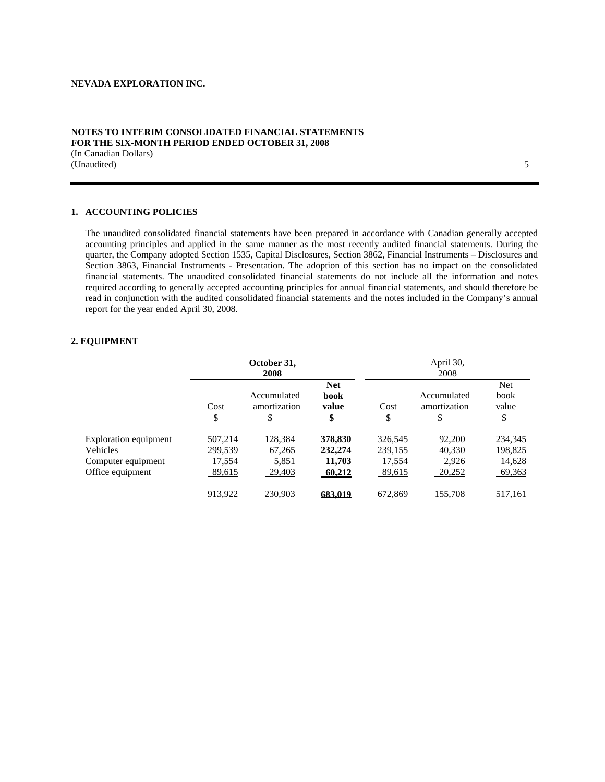## **NOTES TO INTERIM CONSOLIDATED FINANCIAL STATEMENTS FOR THE SIX-MONTH PERIOD ENDED OCTOBER 31, 2008**  (In Canadian Dollars)

(Unaudited) 5

## **1. ACCOUNTING POLICIES**

The unaudited consolidated financial statements have been prepared in accordance with Canadian generally accepted accounting principles and applied in the same manner as the most recently audited financial statements. During the quarter, the Company adopted Section 1535, Capital Disclosures, Section 3862, Financial Instruments – Disclosures and Section 3863, Financial Instruments - Presentation. The adoption of this section has no impact on the consolidated financial statements. The unaudited consolidated financial statements do not include all the information and notes required according to generally accepted accounting principles for annual financial statements, and should therefore be read in conjunction with the audited consolidated financial statements and the notes included in the Company's annual report for the year ended April 30, 2008.

#### **2. EQUIPMENT**

|                              |         | October 31,<br>2008         |                             |         | April 30,<br>2008           |                      |
|------------------------------|---------|-----------------------------|-----------------------------|---------|-----------------------------|----------------------|
|                              | Cost    | Accumulated<br>amortization | <b>Net</b><br>book<br>value | Cost    | Accumulated<br>amortization | Net<br>book<br>value |
|                              | \$      | S                           | \$                          | \$      | \$                          | \$                   |
| <b>Exploration equipment</b> | 507,214 | 128,384                     | 378,830                     | 326,545 | 92,200                      | 234,345              |
| Vehicles                     | 299,539 | 67,265                      | 232,274                     | 239,155 | 40,330                      | 198,825              |
| Computer equipment           | 17,554  | 5,851                       | 11,703                      | 17,554  | 2,926                       | 14,628               |
| Office equipment             | 89,615  | 29,403                      | 60,212                      | 89,615  | 20,252                      | 69,363               |
|                              | 913,922 | 230,903                     | 683,019                     | 672,869 | 155,708                     | 517,161              |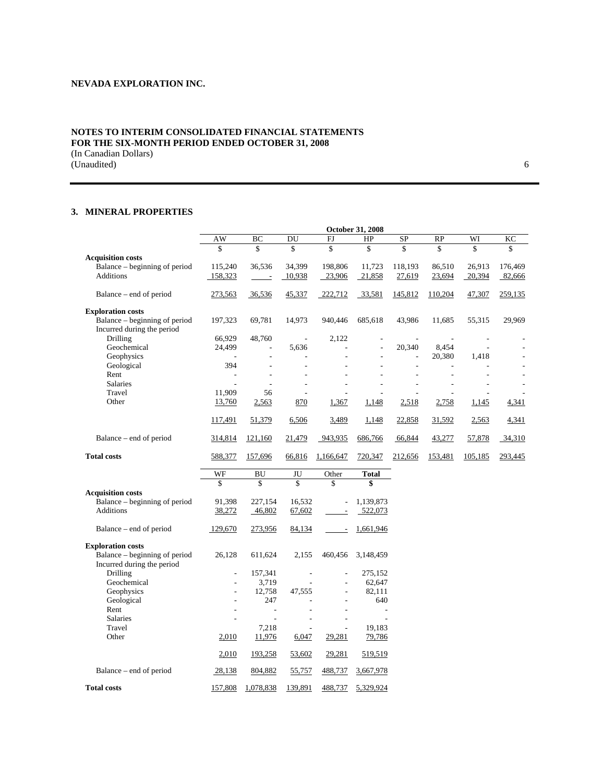# **NOTES TO INTERIM CONSOLIDATED FINANCIAL STATEMENTS FOR THE SIX-MONTH PERIOD ENDED OCTOBER 31, 2008**  (In Canadian Dollars)

(Unaudited) 6

## **3. MINERAL PROPERTIES**

|                               |         | October 31, 2008         |        |           |         |           |           |         |         |
|-------------------------------|---------|--------------------------|--------|-----------|---------|-----------|-----------|---------|---------|
|                               | AW      | BC                       | DU     | FJ        | HP      | <b>SP</b> | <b>RP</b> | WI      | KC      |
|                               | \$      | \$                       | \$     | \$        | \$      | \$        | \$        | \$      | \$      |
| <b>Acquisition costs</b>      |         |                          |        |           |         |           |           |         |         |
| Balance – beginning of period | 115,240 | 36,536                   | 34,399 | 198,806   | 11.723  | 118,193   | 86,510    | 26,913  | 176,469 |
| <b>Additions</b>              | 158,323 |                          | 10,938 | 23,906    | 21,858  | 27,619    | 23,694    | 20,394  | 82,666  |
|                               |         |                          |        |           |         |           |           |         |         |
| Balance – end of period       | 273,563 | 36,536                   | 45,337 | 222,712   | 33,581  | 145,812   | 110,204   | 47,307  | 259,135 |
|                               |         |                          |        |           |         |           |           |         |         |
| <b>Exploration costs</b>      |         |                          |        |           |         |           |           |         |         |
| Balance – beginning of period | 197,323 | 69,781                   | 14,973 | 940,446   | 685,618 | 43,986    | 11,685    | 55,315  | 29,969  |
| Incurred during the period    |         |                          |        |           |         |           |           |         |         |
| Drilling                      | 66,929  | 48,760                   |        | 2,122     |         |           |           |         |         |
| Geochemical                   | 24,499  |                          | 5,636  |           |         | 20,340    | 8,454     |         |         |
| Geophysics                    |         | $\overline{\phantom{a}}$ |        |           |         | ۰         | 20,380    | 1,418   |         |
| Geological                    | 394     | ٠                        |        |           |         |           |           |         |         |
| Rent                          |         |                          |        |           |         |           |           |         |         |
| <b>Salaries</b>               |         |                          |        |           |         |           |           |         |         |
| Travel                        | 11,909  | 56                       |        |           |         |           |           |         |         |
| Other                         | 13,760  | 2,563                    | 870    | 1,367     | 1,148   | 2,518     | 2,758     | 1,145   | 4,341   |
|                               |         |                          |        |           |         |           |           |         |         |
|                               | 117,491 | 51,379                   | 6,506  | 3,489     | 1,148   | 22,858    | 31,592    | 2,563   | 4,341   |
|                               |         |                          |        |           |         |           |           |         |         |
| Balance – end of period       | 314,814 | 121,160                  | 21,479 | 943,935   | 686,766 | 66,844    | 43,277    | 57,878  | 34,310  |
| <b>Total costs</b>            | 588,377 | 157,696                  | 66,816 | 1,166,647 | 720,347 | 212,656   | 153,481   | 105,185 | 293,445 |
|                               |         |                          |        |           |         |           |           |         |         |

|                               | WF      | BU        | JU      | Other   | <b>Total</b> |
|-------------------------------|---------|-----------|---------|---------|--------------|
|                               | \$      | \$        | \$      | \$      | \$           |
| <b>Acquisition costs</b>      |         |           |         |         |              |
| Balance – beginning of period | 91,398  | 227,154   | 16,532  |         | 1,139,873    |
| <b>Additions</b>              | 38,272  | 46,802    | 67,602  |         | 522,073      |
|                               |         |           |         |         |              |
| Balance – end of period       | 129,670 | 273,956   | 84,134  |         | 1,661,946    |
|                               |         |           |         |         |              |
| <b>Exploration costs</b>      |         |           |         |         |              |
| Balance – beginning of period | 26,128  | 611,624   | 2,155   | 460,456 | 3,148,459    |
| Incurred during the period    |         |           |         |         |              |
| Drilling                      |         | 157,341   |         |         | 275,152      |
| Geochemical                   |         | 3.719     |         |         | 62,647       |
| Geophysics                    |         | 12,758    | 47,555  |         | 82,111       |
| Geological                    |         | 247       |         |         | 640          |
| Rent                          |         |           |         |         |              |
| <b>Salaries</b>               |         |           |         |         |              |
| Travel                        |         | 7,218     |         |         | 19,183       |
| Other                         | 2,010   | 11,976    | 6,047   | 29,281  | 79,786       |
|                               |         |           |         |         |              |
|                               | 2,010   | 193,258   | 53,602  | 29,281  | 519,519      |
| Balance – end of period       | 28,138  | 804,882   | 55,757  | 488,737 | 3,667,978    |
| <b>Total costs</b>            | 157,808 | 1,078,838 | 139,891 | 488,737 | 5,329,924    |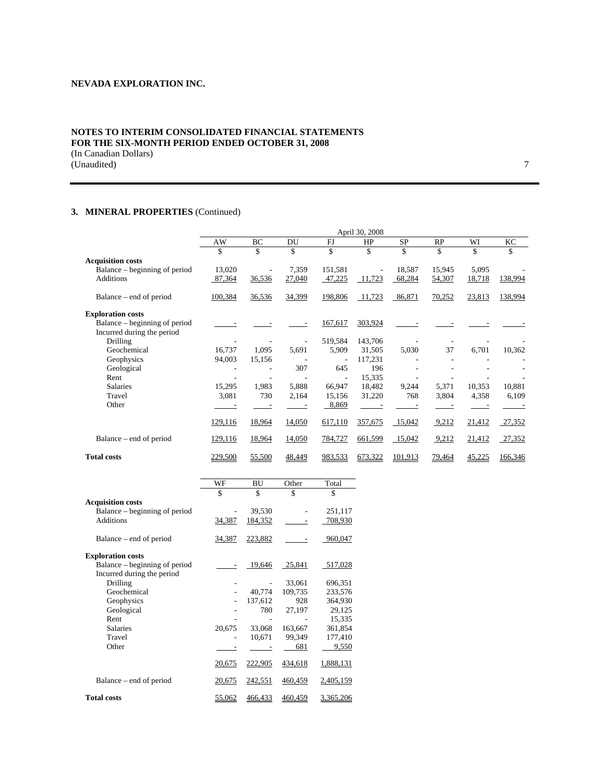# **NOTES TO INTERIM CONSOLIDATED FINANCIAL STATEMENTS FOR THE SIX-MONTH PERIOD ENDED OCTOBER 31, 2008**  (In Canadian Dollars)

(Unaudited) 7

# **3. MINERAL PROPERTIES** (Continued)

|                               |         |        |        |         | April 30, 2008 |         |               |        |         |
|-------------------------------|---------|--------|--------|---------|----------------|---------|---------------|--------|---------|
|                               | AW      | BC     | DU     | FJ      | HP             | SP      | RP            | WI     | KС      |
|                               | \$      | \$     | \$     | \$      | \$             | \$      | \$            | \$     | \$      |
| <b>Acquisition costs</b>      |         |        |        |         |                |         |               |        |         |
| Balance – beginning of period | 13,020  |        | 7,359  | 151,581 |                | 18,587  | 15,945        | 5,095  |         |
| <b>Additions</b>              | 87,364  | 36,536 | 27,040 | 47,225  | 11,723         | 68,284  | 54,307        | 18,718 | 138,994 |
| Balance – end of period       | 100,384 | 36,536 | 34,399 | 198,806 | 11,723         | 86,871  | 70,252        | 23,813 | 138,994 |
| <b>Exploration costs</b>      |         |        |        |         |                |         |               |        |         |
| Balance – beginning of period |         |        |        | 167,617 | 303,924        |         |               |        |         |
| Incurred during the period    |         |        |        |         |                |         |               |        |         |
| <b>Drilling</b>               |         |        |        | 519,584 | 143,706        |         |               |        |         |
| Geochemical                   | 16,737  | 1,095  | 5,691  | 5,909   | 31,505         | 5,030   | 37            | 6,701  | 10,362  |
| Geophysics                    | 94,003  | 15,156 |        |         | 117,231        |         |               |        |         |
| Geological                    |         |        | 307    | 645     | 196            |         |               |        |         |
| Rent                          |         |        |        | $\sim$  | 15,335         |         |               |        |         |
| <b>Salaries</b>               | 15,295  | 1,983  | 5,888  | 66,947  | 18,482         | 9,244   | 5,371         | 10,353 | 10,881  |
| Travel                        | 3,081   | 730    | 2,164  | 15,156  | 31,220         | 768     | 3,804         | 4,358  | 6,109   |
| Other                         |         |        |        | 8,869   |                |         |               |        |         |
|                               | 129,116 | 18,964 | 14,050 | 617,110 | 357,675        | 15,042  | 9,212         | 21,412 | 27,352  |
| Balance – end of period       | 129,116 | 18,964 | 14,050 | 784,727 | 661,599        | 15,042  | 9,212         | 21,412 | 27,352  |
| <b>Total costs</b>            | 229,500 | 55,500 | 48,449 | 983,533 | 673,322        | 101,913 | <u>79,464</u> | 45,225 | 166,346 |

|                               | WF            | BU      | Other   | Total            |
|-------------------------------|---------------|---------|---------|------------------|
|                               | \$            | \$      | \$      | \$               |
| <b>Acquisition costs</b>      |               |         |         |                  |
| Balance – beginning of period |               | 39,530  |         | 251,117          |
| <b>Additions</b>              | 34,387        | 184,352 |         | 708,930          |
|                               |               |         |         |                  |
| Balance – end of period       | 34,387        | 223,882 |         | 960,047          |
| <b>Exploration costs</b>      |               |         |         |                  |
| Balance – beginning of period |               | 19,646  | 25,841  | 517,028          |
| Incurred during the period    |               |         |         |                  |
| Drilling                      |               |         | 33,061  | 696,351          |
| Geochemical                   |               | 40,774  | 109,735 | 233,576          |
| Geophysics                    |               | 137,612 | 928     | 364,930          |
| Geological                    |               | 780     | 27,197  | 29,125           |
| Rent                          |               |         |         | 15,335           |
| <b>Salaries</b>               | 20,675        | 33,068  | 163,667 | 361,854          |
| Travel                        |               | 10,671  | 99,349  | 177,410          |
| Other                         |               |         | 681     | 9,550            |
|                               | 20,675        | 222,905 | 434,618 | 1,888,131        |
| Balance – end of period       | 20,675        | 242,551 | 460,459 | 2,405,159        |
| <b>Total costs</b>            | <u>55,062</u> | 466,433 | 460,459 | <u>3,365,206</u> |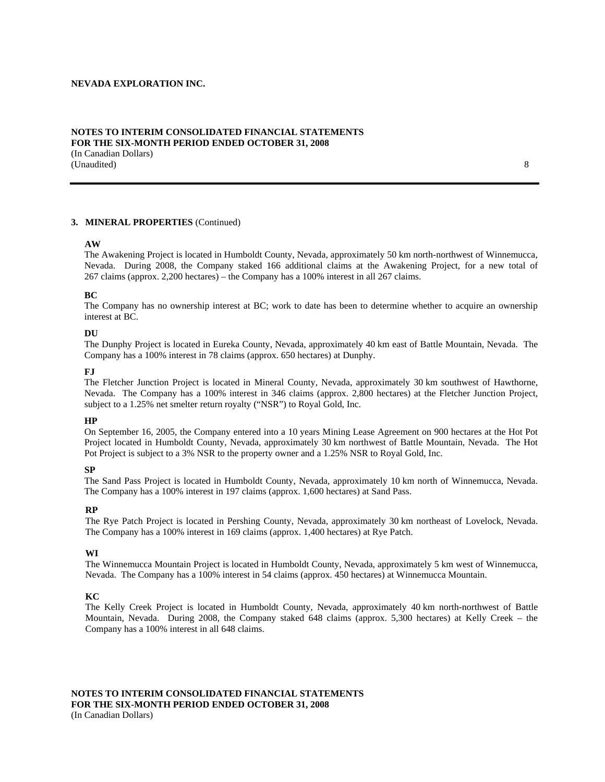#### **NOTES TO INTERIM CONSOLIDATED FINANCIAL STATEMENTS FOR THE SIX-MONTH PERIOD ENDED OCTOBER 31, 2008**  (In Canadian Dollars)

(Unaudited) 8

## **3. MINERAL PROPERTIES** (Continued)

#### **AW**

The Awakening Project is located in Humboldt County, Nevada, approximately 50 km north-northwest of Winnemucca, Nevada. During 2008, the Company staked 166 additional claims at the Awakening Project, for a new total of 267 claims (approx. 2,200 hectares) – the Company has a 100% interest in all 267 claims.

#### **BC**

The Company has no ownership interest at BC; work to date has been to determine whether to acquire an ownership interest at BC.

#### **DU**

The Dunphy Project is located in Eureka County, Nevada, approximately 40 km east of Battle Mountain, Nevada. The Company has a 100% interest in 78 claims (approx. 650 hectares) at Dunphy.

#### **FJ**

The Fletcher Junction Project is located in Mineral County, Nevada, approximately 30 km southwest of Hawthorne, Nevada. The Company has a 100% interest in 346 claims (approx. 2,800 hectares) at the Fletcher Junction Project, subject to a 1.25% net smelter return royalty ("NSR") to Royal Gold, Inc.

## **HP**

On September 16, 2005, the Company entered into a 10 years Mining Lease Agreement on 900 hectares at the Hot Pot Project located in Humboldt County, Nevada, approximately 30 km northwest of Battle Mountain, Nevada. The Hot Pot Project is subject to a 3% NSR to the property owner and a 1.25% NSR to Royal Gold, Inc.

#### **SP**

The Sand Pass Project is located in Humboldt County, Nevada, approximately 10 km north of Winnemucca, Nevada. The Company has a 100% interest in 197 claims (approx. 1,600 hectares) at Sand Pass.

#### **RP**

The Rye Patch Project is located in Pershing County, Nevada, approximately 30 km northeast of Lovelock, Nevada. The Company has a 100% interest in 169 claims (approx. 1,400 hectares) at Rye Patch.

#### **WI**

The Winnemucca Mountain Project is located in Humboldt County, Nevada, approximately 5 km west of Winnemucca, Nevada. The Company has a 100% interest in 54 claims (approx. 450 hectares) at Winnemucca Mountain.

#### **KC**

The Kelly Creek Project is located in Humboldt County, Nevada, approximately 40 km north-northwest of Battle Mountain, Nevada. During 2008, the Company staked 648 claims (approx. 5,300 hectares) at Kelly Creek – the Company has a 100% interest in all 648 claims.

**NOTES TO INTERIM CONSOLIDATED FINANCIAL STATEMENTS FOR THE SIX-MONTH PERIOD ENDED OCTOBER 31, 2008**  (In Canadian Dollars)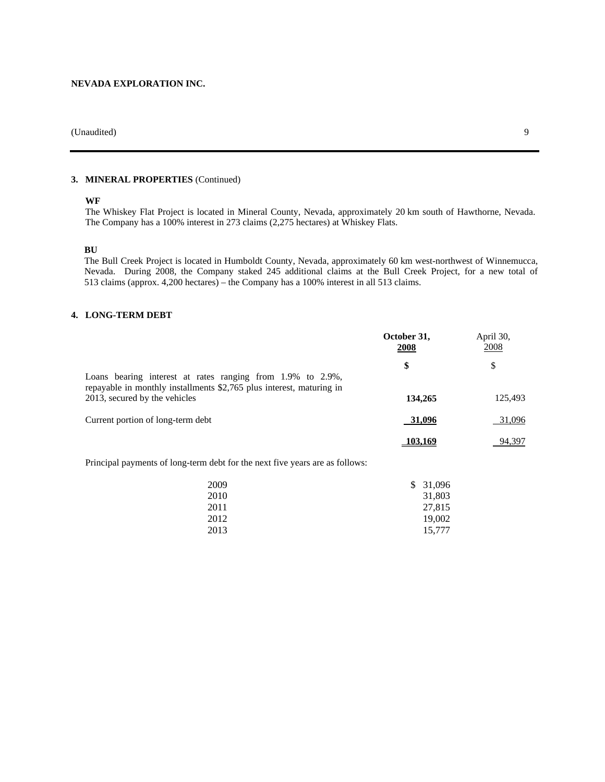# **3. MINERAL PROPERTIES** (Continued)

## **WF**

The Whiskey Flat Project is located in Mineral County, Nevada, approximately 20 km south of Hawthorne, Nevada. The Company has a 100% interest in 273 claims (2,275 hectares) at Whiskey Flats.

#### **BU**

The Bull Creek Project is located in Humboldt County, Nevada, approximately 60 km west-northwest of Winnemucca, Nevada. During 2008, the Company staked 245 additional claims at the Bull Creek Project, for a new total of 513 claims (approx. 4,200 hectares) – the Company has a 100% interest in all 513 claims.

#### **4. LONG-TERM DEBT**

|                                                                                                                                    | October 31,<br>2008 | April 30,<br>2008 |
|------------------------------------------------------------------------------------------------------------------------------------|---------------------|-------------------|
| Loans bearing interest at rates ranging from 1.9% to 2.9%,<br>repayable in monthly installments \$2,765 plus interest, maturing in | \$                  | \$                |
| 2013, secured by the vehicles                                                                                                      | 134,265             | 125,493           |
| Current portion of long-term debt                                                                                                  | 31,096              | 31,096            |
|                                                                                                                                    | 103.169             | 94,397            |

Principal payments of long-term debt for the next five years are as follows:

| 31,096<br>2009<br>S |  |
|---------------------|--|
| 2010<br>31,803      |  |
| 27,815<br>2011      |  |
| 2012<br>19,002      |  |
| 2013<br>15,777      |  |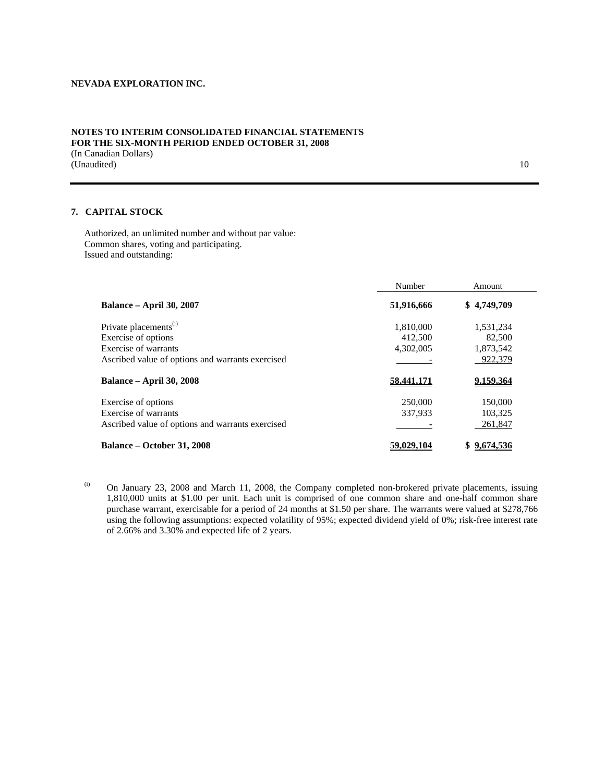## **NOTES TO INTERIM CONSOLIDATED FINANCIAL STATEMENTS FOR THE SIX-MONTH PERIOD ENDED OCTOBER 31, 2008**

(In Canadian Dollars) (Unaudited) 10

## **7. CAPITAL STOCK**

Authorized, an unlimited number and without par value: Common shares, voting and participating. Issued and outstanding:

|                                                  | Number     | Amount      |
|--------------------------------------------------|------------|-------------|
| <b>Balance – April 30, 2007</b>                  | 51,916,666 | \$4,749,709 |
| Private placements <sup>(i)</sup>                | 1,810,000  | 1,531,234   |
| Exercise of options                              | 412,500    | 82,500      |
| Exercise of warrants                             | 4,302,005  | 1,873,542   |
| Ascribed value of options and warrants exercised |            | 922,379     |
| <b>Balance – April 30, 2008</b>                  | 58,441,171 | 9.159.364   |
| Exercise of options                              | 250,000    | 150,000     |
| Exercise of warrants                             | 337.933    | 103,325     |
| Ascribed value of options and warrants exercised |            | 261,847     |
| Balance – October 31, 2008                       | 59,029,104 | \$9.674.536 |

(i) On January 23, 2008 and March 11, 2008, the Company completed non-brokered private placements, issuing 1,810,000 units at \$1.00 per unit. Each unit is comprised of one common share and one-half common share purchase warrant, exercisable for a period of 24 months at \$1.50 per share. The warrants were valued at \$278,766 using the following assumptions: expected volatility of 95%; expected dividend yield of 0%; risk-free interest rate of 2.66% and 3.30% and expected life of 2 years.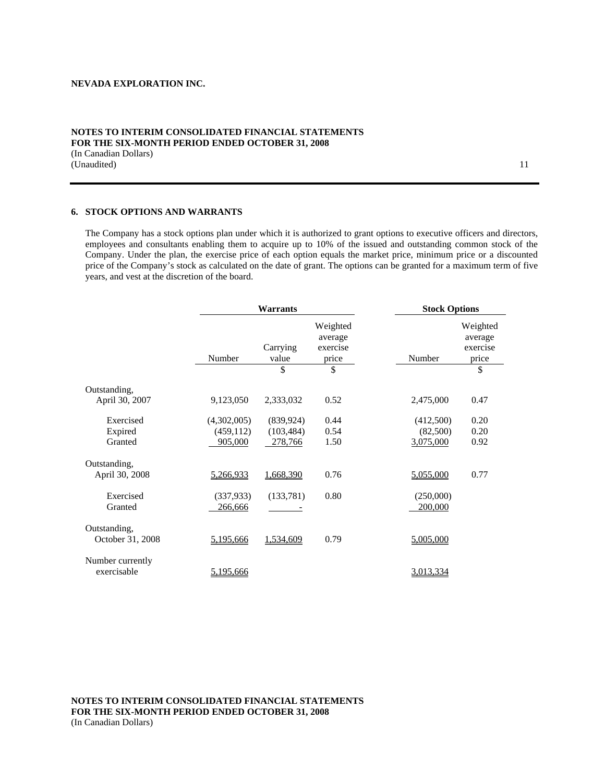## **NOTES TO INTERIM CONSOLIDATED FINANCIAL STATEMENTS FOR THE SIX-MONTH PERIOD ENDED OCTOBER 31, 2008**  (In Canadian Dollars) (Unaudited) 11

## **6. STOCK OPTIONS AND WARRANTS**

The Company has a stock options plan under which it is authorized to grant options to executive officers and directors, employees and consultants enabling them to acquire up to 10% of the issued and outstanding common stock of the Company. Under the plan, the exercise price of each option equals the market price, minimum price or a discounted price of the Company's stock as calculated on the date of grant. The options can be granted for a maximum term of five years, and vest at the discretion of the board.

|                                  | Warrants                             |                                     |                                          | <b>Stock Options</b>               |                                          |
|----------------------------------|--------------------------------------|-------------------------------------|------------------------------------------|------------------------------------|------------------------------------------|
|                                  | Number                               | Carrying<br>value                   | Weighted<br>average<br>exercise<br>price | Number                             | Weighted<br>average<br>exercise<br>price |
|                                  |                                      | \$                                  | \$                                       |                                    | \$                                       |
| Outstanding,<br>April 30, 2007   | 9,123,050                            | 2,333,032                           | 0.52                                     | 2,475,000                          | 0.47                                     |
| Exercised<br>Expired<br>Granted  | (4,302,005)<br>(459, 112)<br>905,000 | (839, 924)<br>(103, 484)<br>278,766 | 0.44<br>0.54<br>1.50                     | (412,500)<br>(82,500)<br>3,075,000 | 0.20<br>0.20<br>0.92                     |
| Outstanding,<br>April 30, 2008   | 5,266,933                            | 1,668,390                           | 0.76                                     | 5,055,000                          | 0.77                                     |
| Exercised<br>Granted             | (337, 933)<br>266,666                | (133,781)                           | 0.80                                     | (250,000)<br>200,000               |                                          |
| Outstanding,<br>October 31, 2008 | 5,195,666                            | 1,534,609                           | 0.79                                     | 5,005,000                          |                                          |
| Number currently<br>exercisable  | <u>5,195,666</u>                     |                                     |                                          | 3,013,334                          |                                          |

**NOTES TO INTERIM CONSOLIDATED FINANCIAL STATEMENTS FOR THE SIX-MONTH PERIOD ENDED OCTOBER 31, 2008**  (In Canadian Dollars)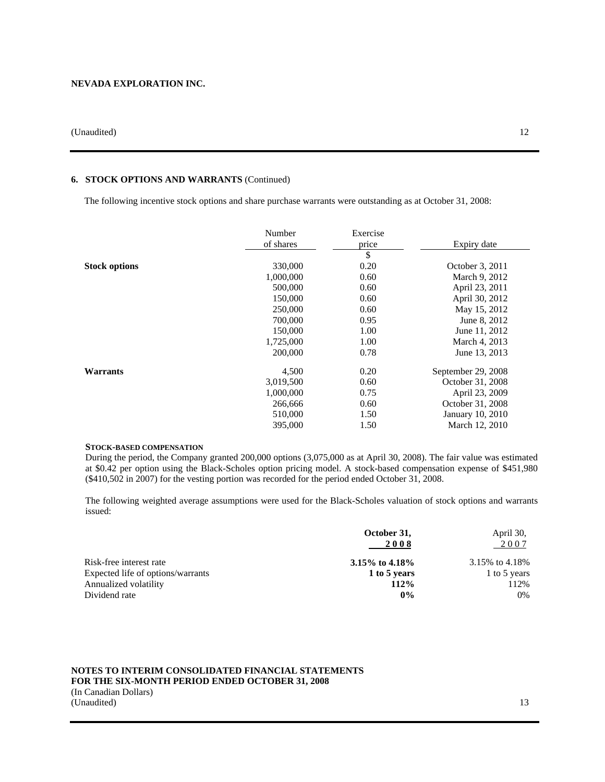# **6. STOCK OPTIONS AND WARRANTS** (Continued)

The following incentive stock options and share purchase warrants were outstanding as at October 31, 2008:

|                      | Number<br>of shares | Exercise<br>price | Expiry date        |
|----------------------|---------------------|-------------------|--------------------|
|                      |                     | \$                |                    |
| <b>Stock options</b> | 330,000             | 0.20              | October 3, 2011    |
|                      | 1,000,000           | 0.60              | March 9, 2012      |
|                      | 500,000             | 0.60              | April 23, 2011     |
|                      | 150,000             | 0.60              | April 30, 2012     |
|                      | 250,000             | 0.60              | May 15, 2012       |
|                      | 700,000             | 0.95              | June 8, 2012       |
|                      | 150,000             | 1.00              | June 11, 2012      |
|                      | 1,725,000           | 1.00              | March 4, 2013      |
|                      | 200,000             | 0.78              | June 13, 2013      |
| Warrants             | 4,500               | 0.20              | September 29, 2008 |
|                      | 3,019,500           | 0.60              | October 31, 2008   |
|                      | 1,000,000           | 0.75              | April 23, 2009     |
|                      | 266,666             | 0.60              | October 31, 2008   |
|                      | 510,000             | 1.50              | January 10, 2010   |
|                      | 395,000             | 1.50              | March 12, 2010     |

## **STOCK-BASED COMPENSATION**

During the period, the Company granted 200,000 options (3,075,000 as at April 30, 2008). The fair value was estimated at \$0.42 per option using the Black-Scholes option pricing model. A stock-based compensation expense of \$451,980 (\$410,502 in 2007) for the vesting portion was recorded for the period ended October 31, 2008.

The following weighted average assumptions were used for the Black-Scholes valuation of stock options and warrants issued:

|                                   | October 31,<br>2008 | April 30,<br>2007 |
|-----------------------------------|---------------------|-------------------|
| Risk-free interest rate           | 3.15\% to 4.18\%    | 3.15% to 4.18%    |
| Expected life of options/warrants | 1 to 5 years        | 1 to 5 years      |
| Annualized volatility             | 112%                | 112%              |
| Dividend rate                     | $0\%$               | 0%                |

## **NOTES TO INTERIM CONSOLIDATED FINANCIAL STATEMENTS FOR THE SIX-MONTH PERIOD ENDED OCTOBER 31, 2008**

(In Canadian Dollars) (Unaudited) 13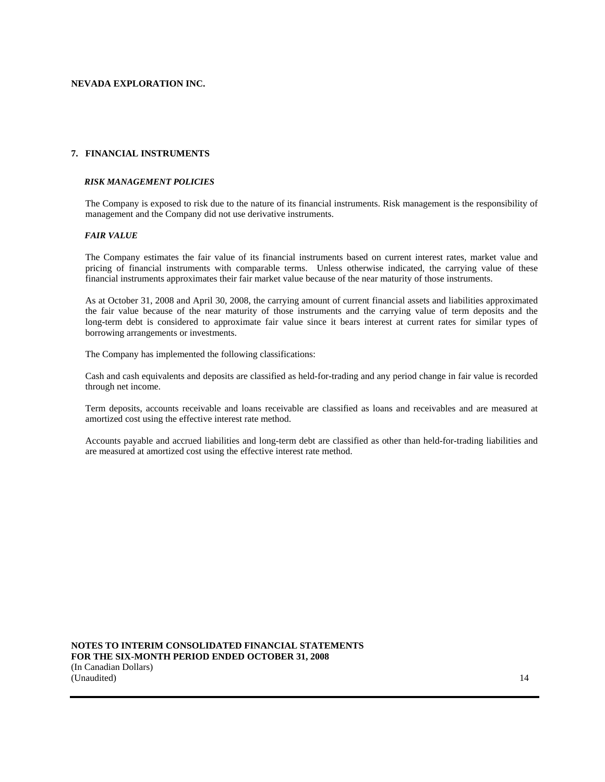## **7. FINANCIAL INSTRUMENTS**

#### *RISK MANAGEMENT POLICIES*

The Company is exposed to risk due to the nature of its financial instruments. Risk management is the responsibility of management and the Company did not use derivative instruments.

#### *FAIR VALUE*

The Company estimates the fair value of its financial instruments based on current interest rates, market value and pricing of financial instruments with comparable terms. Unless otherwise indicated, the carrying value of these financial instruments approximates their fair market value because of the near maturity of those instruments.

As at October 31, 2008 and April 30, 2008, the carrying amount of current financial assets and liabilities approximated the fair value because of the near maturity of those instruments and the carrying value of term deposits and the long-term debt is considered to approximate fair value since it bears interest at current rates for similar types of borrowing arrangements or investments.

The Company has implemented the following classifications:

Cash and cash equivalents and deposits are classified as held-for-trading and any period change in fair value is recorded through net income.

Term deposits, accounts receivable and loans receivable are classified as loans and receivables and are measured at amortized cost using the effective interest rate method.

Accounts payable and accrued liabilities and long-term debt are classified as other than held-for-trading liabilities and are measured at amortized cost using the effective interest rate method.

**NOTES TO INTERIM CONSOLIDATED FINANCIAL STATEMENTS FOR THE SIX-MONTH PERIOD ENDED OCTOBER 31, 2008**  (In Canadian Dollars) (Unaudited) 14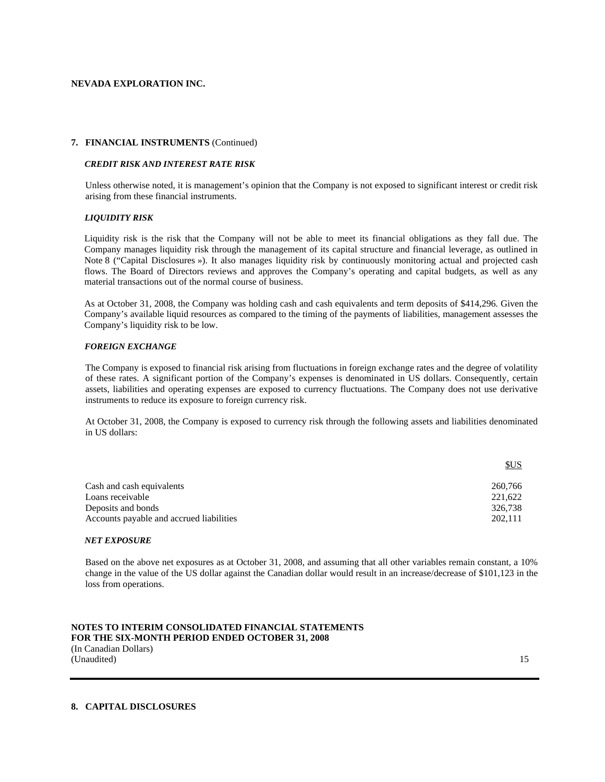#### **7. FINANCIAL INSTRUMENTS** (Continued)

#### *CREDIT RISK AND INTEREST RATE RISK*

Unless otherwise noted, it is management's opinion that the Company is not exposed to significant interest or credit risk arising from these financial instruments.

## *LIQUIDITY RISK*

Liquidity risk is the risk that the Company will not be able to meet its financial obligations as they fall due. The Company manages liquidity risk through the management of its capital structure and financial leverage, as outlined in Note 8 ("Capital Disclosures »). It also manages liquidity risk by continuously monitoring actual and projected cash flows. The Board of Directors reviews and approves the Company's operating and capital budgets, as well as any material transactions out of the normal course of business.

As at October 31, 2008, the Company was holding cash and cash equivalents and term deposits of \$414,296. Given the Company's available liquid resources as compared to the timing of the payments of liabilities, management assesses the Company's liquidity risk to be low.

#### *FOREIGN EXCHANGE*

The Company is exposed to financial risk arising from fluctuations in foreign exchange rates and the degree of volatility of these rates. A significant portion of the Company's expenses is denominated in US dollars. Consequently, certain assets, liabilities and operating expenses are exposed to currency fluctuations. The Company does not use derivative instruments to reduce its exposure to foreign currency risk.

At October 31, 2008, the Company is exposed to currency risk through the following assets and liabilities denominated in US dollars:

| <b>SUS</b> |
|------------|
| 260.766    |
| 221,622    |
| 326.738    |
| 202.111    |
|            |

#### *NET EXPOSURE*

Based on the above net exposures as at October 31, 2008, and assuming that all other variables remain constant, a 10% change in the value of the US dollar against the Canadian dollar would result in an increase/decrease of \$101,123 in the loss from operations.

**NOTES TO INTERIM CONSOLIDATED FINANCIAL STATEMENTS FOR THE SIX-MONTH PERIOD ENDED OCTOBER 31, 2008**  (In Canadian Dollars) (Unaudited) 15

## **8. CAPITAL DISCLOSURES**